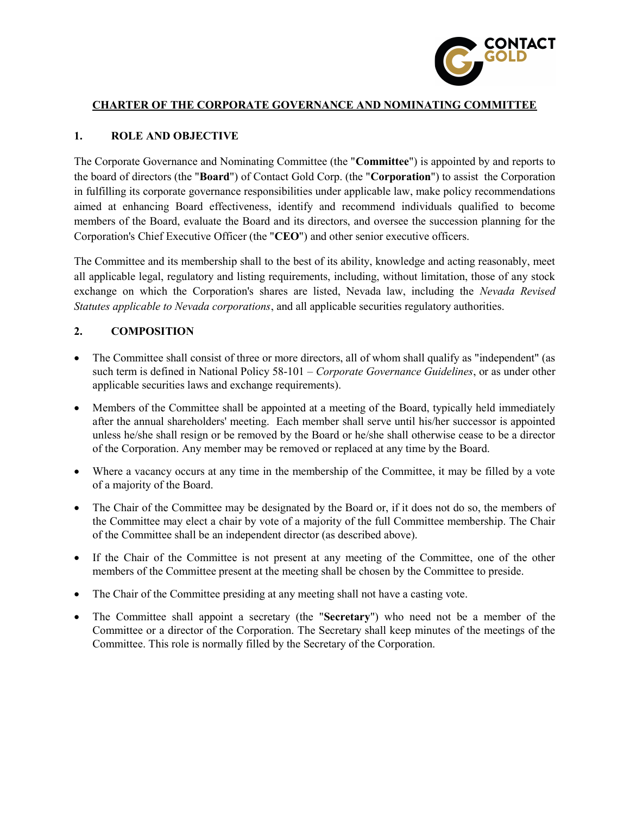

#### CHARTER OF THE CORPORATE GOVERNANCE AND NOMINATING COMMITTEE

#### 1. ROLE AND OBJECTIVE

The Corporate Governance and Nominating Committee (the "Committee") is appointed by and reports to the board of directors (the "Board") of Contact Gold Corp. (the "Corporation") to assist the Corporation in fulfilling its corporate governance responsibilities under applicable law, make policy recommendations aimed at enhancing Board effectiveness, identify and recommend individuals qualified to become members of the Board, evaluate the Board and its directors, and oversee the succession planning for the Corporation's Chief Executive Officer (the "CEO") and other senior executive officers.

The Committee and its membership shall to the best of its ability, knowledge and acting reasonably, meet all applicable legal, regulatory and listing requirements, including, without limitation, those of any stock exchange on which the Corporation's shares are listed, Nevada law, including the Nevada Revised Statutes applicable to Nevada corporations, and all applicable securities regulatory authorities.

#### 2. COMPOSITION

- The Committee shall consist of three or more directors, all of whom shall qualify as "independent" (as such term is defined in National Policy 58-101 – Corporate Governance Guidelines, or as under other applicable securities laws and exchange requirements).
- Members of the Committee shall be appointed at a meeting of the Board, typically held immediately after the annual shareholders' meeting. Each member shall serve until his/her successor is appointed unless he/she shall resign or be removed by the Board or he/she shall otherwise cease to be a director of the Corporation. Any member may be removed or replaced at any time by the Board.
- Where a vacancy occurs at any time in the membership of the Committee, it may be filled by a vote of a majority of the Board.
- The Chair of the Committee may be designated by the Board or, if it does not do so, the members of the Committee may elect a chair by vote of a majority of the full Committee membership. The Chair of the Committee shall be an independent director (as described above).
- If the Chair of the Committee is not present at any meeting of the Committee, one of the other members of the Committee present at the meeting shall be chosen by the Committee to preside.
- The Chair of the Committee presiding at any meeting shall not have a casting vote.
- The Committee shall appoint a secretary (the "Secretary") who need not be a member of the Committee or a director of the Corporation. The Secretary shall keep minutes of the meetings of the Committee. This role is normally filled by the Secretary of the Corporation.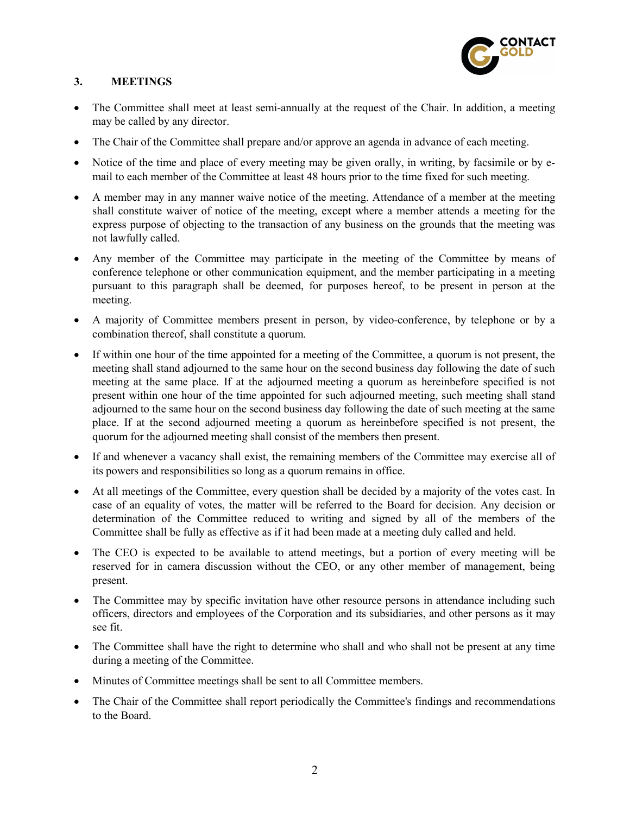

# 3. MEETINGS

- The Committee shall meet at least semi-annually at the request of the Chair. In addition, a meeting may be called by any director.
- The Chair of the Committee shall prepare and/or approve an agenda in advance of each meeting.
- Notice of the time and place of every meeting may be given orally, in writing, by facsimile or by email to each member of the Committee at least 48 hours prior to the time fixed for such meeting.
- A member may in any manner waive notice of the meeting. Attendance of a member at the meeting shall constitute waiver of notice of the meeting, except where a member attends a meeting for the express purpose of objecting to the transaction of any business on the grounds that the meeting was not lawfully called.
- Any member of the Committee may participate in the meeting of the Committee by means of conference telephone or other communication equipment, and the member participating in a meeting pursuant to this paragraph shall be deemed, for purposes hereof, to be present in person at the meeting.
- A majority of Committee members present in person, by video-conference, by telephone or by a combination thereof, shall constitute a quorum.
- If within one hour of the time appointed for a meeting of the Committee, a quorum is not present, the meeting shall stand adjourned to the same hour on the second business day following the date of such meeting at the same place. If at the adjourned meeting a quorum as hereinbefore specified is not present within one hour of the time appointed for such adjourned meeting, such meeting shall stand adjourned to the same hour on the second business day following the date of such meeting at the same place. If at the second adjourned meeting a quorum as hereinbefore specified is not present, the quorum for the adjourned meeting shall consist of the members then present.
- If and whenever a vacancy shall exist, the remaining members of the Committee may exercise all of its powers and responsibilities so long as a quorum remains in office.
- At all meetings of the Committee, every question shall be decided by a majority of the votes cast. In case of an equality of votes, the matter will be referred to the Board for decision. Any decision or determination of the Committee reduced to writing and signed by all of the members of the Committee shall be fully as effective as if it had been made at a meeting duly called and held.
- The CEO is expected to be available to attend meetings, but a portion of every meeting will be reserved for in camera discussion without the CEO, or any other member of management, being present.
- The Committee may by specific invitation have other resource persons in attendance including such officers, directors and employees of the Corporation and its subsidiaries, and other persons as it may see fit.
- The Committee shall have the right to determine who shall and who shall not be present at any time during a meeting of the Committee.
- Minutes of Committee meetings shall be sent to all Committee members.
- The Chair of the Committee shall report periodically the Committee's findings and recommendations to the Board.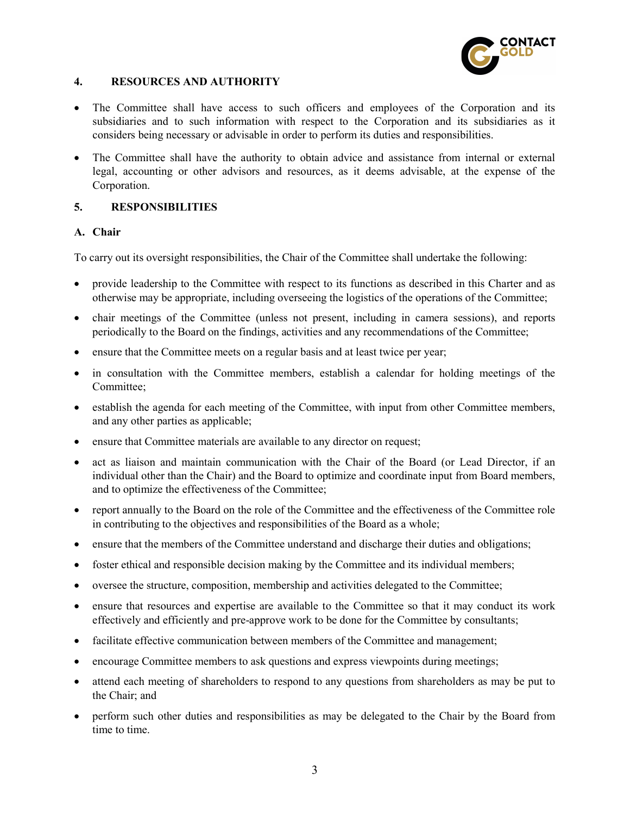

## 4. RESOURCES AND AUTHORITY

- The Committee shall have access to such officers and employees of the Corporation and its subsidiaries and to such information with respect to the Corporation and its subsidiaries as it considers being necessary or advisable in order to perform its duties and responsibilities.
- The Committee shall have the authority to obtain advice and assistance from internal or external legal, accounting or other advisors and resources, as it deems advisable, at the expense of the Corporation.

## 5. RESPONSIBILITIES

#### A. Chair

To carry out its oversight responsibilities, the Chair of the Committee shall undertake the following:

- provide leadership to the Committee with respect to its functions as described in this Charter and as otherwise may be appropriate, including overseeing the logistics of the operations of the Committee;
- chair meetings of the Committee (unless not present, including in camera sessions), and reports periodically to the Board on the findings, activities and any recommendations of the Committee;
- ensure that the Committee meets on a regular basis and at least twice per year;
- in consultation with the Committee members, establish a calendar for holding meetings of the Committee;
- establish the agenda for each meeting of the Committee, with input from other Committee members, and any other parties as applicable;
- ensure that Committee materials are available to any director on request;
- act as liaison and maintain communication with the Chair of the Board (or Lead Director, if an individual other than the Chair) and the Board to optimize and coordinate input from Board members, and to optimize the effectiveness of the Committee;
- report annually to the Board on the role of the Committee and the effectiveness of the Committee role in contributing to the objectives and responsibilities of the Board as a whole;
- ensure that the members of the Committee understand and discharge their duties and obligations;
- foster ethical and responsible decision making by the Committee and its individual members;
- oversee the structure, composition, membership and activities delegated to the Committee;
- ensure that resources and expertise are available to the Committee so that it may conduct its work effectively and efficiently and pre-approve work to be done for the Committee by consultants;
- facilitate effective communication between members of the Committee and management;
- encourage Committee members to ask questions and express viewpoints during meetings;
- attend each meeting of shareholders to respond to any questions from shareholders as may be put to the Chair; and
- perform such other duties and responsibilities as may be delegated to the Chair by the Board from time to time.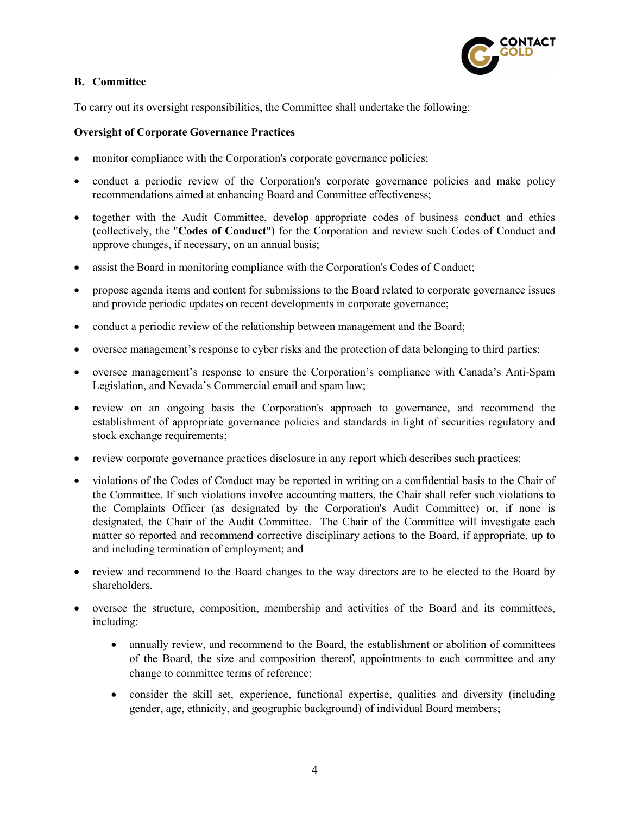

## B. Committee

To carry out its oversight responsibilities, the Committee shall undertake the following:

## Oversight of Corporate Governance Practices

- monitor compliance with the Corporation's corporate governance policies;
- conduct a periodic review of the Corporation's corporate governance policies and make policy recommendations aimed at enhancing Board and Committee effectiveness;
- together with the Audit Committee, develop appropriate codes of business conduct and ethics (collectively, the "Codes of Conduct") for the Corporation and review such Codes of Conduct and approve changes, if necessary, on an annual basis;
- assist the Board in monitoring compliance with the Corporation's Codes of Conduct;
- propose agenda items and content for submissions to the Board related to corporate governance issues and provide periodic updates on recent developments in corporate governance;
- conduct a periodic review of the relationship between management and the Board;
- oversee management's response to cyber risks and the protection of data belonging to third parties;
- oversee management's response to ensure the Corporation's compliance with Canada's Anti-Spam Legislation, and Nevada's Commercial email and spam law;
- review on an ongoing basis the Corporation's approach to governance, and recommend the establishment of appropriate governance policies and standards in light of securities regulatory and stock exchange requirements;
- review corporate governance practices disclosure in any report which describes such practices;
- violations of the Codes of Conduct may be reported in writing on a confidential basis to the Chair of the Committee. If such violations involve accounting matters, the Chair shall refer such violations to the Complaints Officer (as designated by the Corporation's Audit Committee) or, if none is designated, the Chair of the Audit Committee. The Chair of the Committee will investigate each matter so reported and recommend corrective disciplinary actions to the Board, if appropriate, up to and including termination of employment; and
- review and recommend to the Board changes to the way directors are to be elected to the Board by shareholders.
- oversee the structure, composition, membership and activities of the Board and its committees, including:
	- annually review, and recommend to the Board, the establishment or abolition of committees of the Board, the size and composition thereof, appointments to each committee and any change to committee terms of reference;
	- consider the skill set, experience, functional expertise, qualities and diversity (including gender, age, ethnicity, and geographic background) of individual Board members;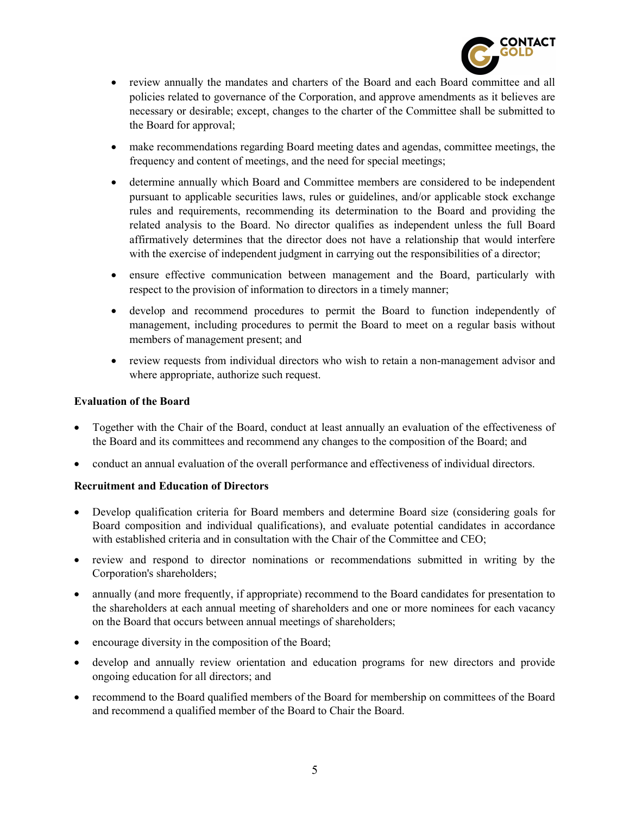

- review annually the mandates and charters of the Board and each Board committee and all policies related to governance of the Corporation, and approve amendments as it believes are necessary or desirable; except, changes to the charter of the Committee shall be submitted to the Board for approval;
- make recommendations regarding Board meeting dates and agendas, committee meetings, the frequency and content of meetings, and the need for special meetings;
- determine annually which Board and Committee members are considered to be independent pursuant to applicable securities laws, rules or guidelines, and/or applicable stock exchange rules and requirements, recommending its determination to the Board and providing the related analysis to the Board. No director qualifies as independent unless the full Board affirmatively determines that the director does not have a relationship that would interfere with the exercise of independent judgment in carrying out the responsibilities of a director;
- ensure effective communication between management and the Board, particularly with respect to the provision of information to directors in a timely manner;
- develop and recommend procedures to permit the Board to function independently of management, including procedures to permit the Board to meet on a regular basis without members of management present; and
- review requests from individual directors who wish to retain a non-management advisor and where appropriate, authorize such request.

#### Evaluation of the Board

- Together with the Chair of the Board, conduct at least annually an evaluation of the effectiveness of the Board and its committees and recommend any changes to the composition of the Board; and
- conduct an annual evaluation of the overall performance and effectiveness of individual directors.

#### Recruitment and Education of Directors

- Develop qualification criteria for Board members and determine Board size (considering goals for Board composition and individual qualifications), and evaluate potential candidates in accordance with established criteria and in consultation with the Chair of the Committee and CEO;
- review and respond to director nominations or recommendations submitted in writing by the Corporation's shareholders;
- annually (and more frequently, if appropriate) recommend to the Board candidates for presentation to the shareholders at each annual meeting of shareholders and one or more nominees for each vacancy on the Board that occurs between annual meetings of shareholders;
- encourage diversity in the composition of the Board;
- develop and annually review orientation and education programs for new directors and provide ongoing education for all directors; and
- recommend to the Board qualified members of the Board for membership on committees of the Board and recommend a qualified member of the Board to Chair the Board.